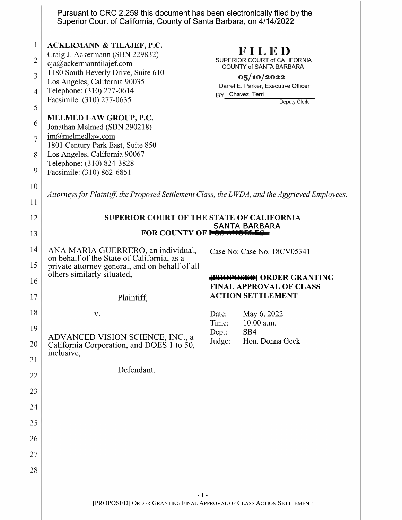|                                                              | Pursuant to CRC 2.259 this document has been electronically filed by the<br>Superior Court of California, County of Santa Barbara, on 4/14/2022                                                                                                                                                                                                                                                                                                                                                                                                                 |                                                                                                                                                           |
|--------------------------------------------------------------|-----------------------------------------------------------------------------------------------------------------------------------------------------------------------------------------------------------------------------------------------------------------------------------------------------------------------------------------------------------------------------------------------------------------------------------------------------------------------------------------------------------------------------------------------------------------|-----------------------------------------------------------------------------------------------------------------------------------------------------------|
| 1<br>$\overline{2}$<br>3<br>4<br>5<br>6<br>7<br>8<br>9<br>10 | <b>ACKERMANN &amp; TILAJEF, P.C.</b><br>Craig J. Ackermann (SBN 229832)<br>cja@ackermanntilajef.com<br>1180 South Beverly Drive, Suite 610<br>Los Angeles, California 90035<br>Telephone: (310) 277-0614<br>Facsimile: (310) 277-0635<br><b>MELMED LAW GROUP, P.C.</b><br>Jonathan Melmed (SBN 290218)<br>$jm@m$ elmedlaw.com<br>1801 Century Park East, Suite 850<br>Los Angeles, California 90067<br>Telephone: (310) 824-3828<br>Facsimile: (310) 862-6851<br>Attorneys for Plaintiff, the Proposed Settlement Class, the LWDA, and the Aggrieved Employees. | FILED<br>SUPERIOR COURT of CALIFORNIA<br>COUNTY of SANTA BARBARA<br>05/10/2022<br>Darrel E. Parker, Executive Officer<br>BY Chavez, Terri<br>Deputy Clerk |
| 11<br>12                                                     | <b>SUPERIOR COURT OF THE STATE OF CALIFORNIA</b>                                                                                                                                                                                                                                                                                                                                                                                                                                                                                                                |                                                                                                                                                           |
| 13                                                           | <b>SANTA BARBARA</b><br><b>FOR COUNTY OF LOS ANGEL</b>                                                                                                                                                                                                                                                                                                                                                                                                                                                                                                          |                                                                                                                                                           |
| 14<br>15<br>16<br>17                                         | ANA MARIA GUERRERO, an individual,<br>on behalf of the State of California, as a<br>private attorney general, and on behalf of all<br>others similarly situated,<br>Plaintiff,                                                                                                                                                                                                                                                                                                                                                                                  | Case No: Case No. 18CV05341<br><b>PROPOSED</b> ORDER GRANTING<br><b>FINAL APPROVAL OF CLASS</b><br><b>ACTION SETTLEMENT</b>                               |
| 18<br>19<br>20<br>21                                         | V.<br>ADVANCED VISION SCIENCE, INC., a<br>California Corporation, and DOES 1 to 50,<br>inclusive,                                                                                                                                                                                                                                                                                                                                                                                                                                                               | May 6, 2022<br>Date:<br>10:00 a.m.<br>Time:<br>Dept:<br>SB4<br>Judge:<br>Hon. Donna Geck                                                                  |
| 22<br>23                                                     | Defendant.                                                                                                                                                                                                                                                                                                                                                                                                                                                                                                                                                      |                                                                                                                                                           |
| 24                                                           |                                                                                                                                                                                                                                                                                                                                                                                                                                                                                                                                                                 |                                                                                                                                                           |
| 25                                                           |                                                                                                                                                                                                                                                                                                                                                                                                                                                                                                                                                                 |                                                                                                                                                           |
| 26                                                           |                                                                                                                                                                                                                                                                                                                                                                                                                                                                                                                                                                 |                                                                                                                                                           |
| 27<br>28                                                     |                                                                                                                                                                                                                                                                                                                                                                                                                                                                                                                                                                 |                                                                                                                                                           |
|                                                              | - 1 -<br>[PROPOSED] ORDER GRANTING FINAL APPROVAL OF CLASS ACTION SETTLEMENT                                                                                                                                                                                                                                                                                                                                                                                                                                                                                    |                                                                                                                                                           |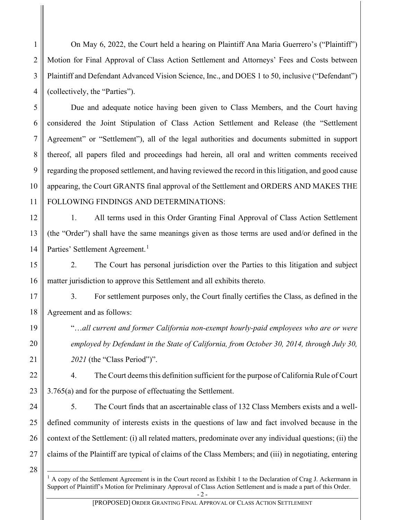On May 6, 2022, the Court held a hearing on Plaintiff Ana Maria Guerrero's ("Plaintiff") Motion for Final Approval of Class Action Settlement and Attorneys' Fees and Costs between Plaintiff and Defendant Advanced Vision Science, Inc., and DOES 1 to 50, inclusive ("Defendant") (collectively, the "Parties").

Due and adequate notice having been given to Class Members, and the Court having considered the Joint Stipulation of Class Action Settlement and Release (the "Settlement Agreement" or "Settlement"), all of the legal authorities and documents submitted in support thereof, all papers filed and proceedings had herein, all oral and written comments received regarding the proposed settlement, and having reviewed the record in this litigation, and good cause appearing, the Court GRANTS final approval of the Settlement and ORDERS AND MAKES THE FOLLOWING FINDINGS AND DETERMINATIONS:

12 14 1. All terms used in this Order Granting Final Approval of Class Action Settlement (the "Order") shall have the same meanings given as those terms are used and/or defined in the Parties' Settlement Agreement.<sup>[1](#page-1-0)</sup>

2. The Court has personal jurisdiction over the Parties to this litigation and subject matter jurisdiction to approve this Settlement and all exhibits thereto.

18 3. For settlement purposes only, the Court finally certifies the Class, as defined in the Agreement and as follows:

> "…*all current and former California non-exempt hourly-paid employees who are or were employed by Defendant in the State of California, from October 30, 2014, through July 30, 2021* (the "Class Period")".

4. The Court deems this definition sufficient for the purpose of California Rule of Court 3.765(a) and for the purpose of effectuating the Settlement.

5. The Court finds that an ascertainable class of 132 Class Members exists and a welldefined community of interests exists in the questions of law and fact involved because in the context of the Settlement: (i) all related matters, predominate over any individual questions; (ii) the claims of the Plaintiff are typical of claims of the Class Members; and (iii) in negotiating, entering

<span id="page-1-0"></span>28

1

2

3

4

5

6

7

8

9

10

11

13

15

16

17

19

20

21

22

23

24

25

26

27

 $<sup>1</sup>$  A copy of the Settlement Agreement is in the Court record as Exhibit 1 to the Declaration of Crag J. Ackermann in</sup> Support of Plaintiff's Motion for Preliminary Approval of Class Action Settlement and is made a part of this Order.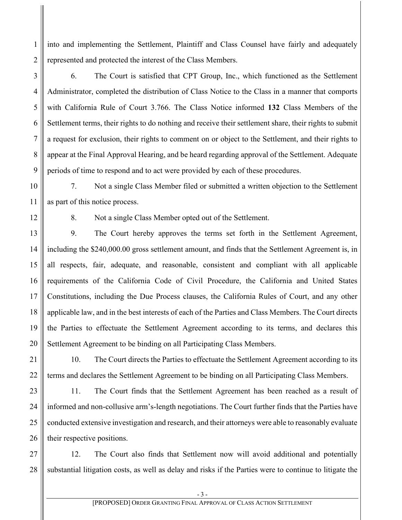into and implementing the Settlement, Plaintiff and Class Counsel have fairly and adequately represented and protected the interest of the Class Members.

6. The Court is satisfied that CPT Group, Inc., which functioned as the Settlement Administrator, completed the distribution of Class Notice to the Class in a manner that comports with California Rule of Court 3.766. The Class Notice informed **132** Class Members of the Settlement terms, their rights to do nothing and receive their settlement share, their rights to submit a request for exclusion, their rights to comment on or object to the Settlement, and their rights to appear at the Final Approval Hearing, and be heard regarding approval of the Settlement. Adequate periods of time to respond and to act were provided by each of these procedures.

7. Not a single Class Member filed or submitted a written objection to the Settlement as part of this notice process.

1

2

3

4

5

6

7

8

9

10

11

12

13

14

15

16

17

18

19

20

21

22

23

24

25

26

8. Not a single Class Member opted out of the Settlement.

9. The Court hereby approves the terms set forth in the Settlement Agreement, including the \$240,000.00 gross settlement amount, and finds that the Settlement Agreement is, in all respects, fair, adequate, and reasonable, consistent and compliant with all applicable requirements of the California Code of Civil Procedure, the California and United States Constitutions, including the Due Process clauses, the California Rules of Court, and any other applicable law, and in the best interests of each of the Parties and Class Members. The Court directs the Parties to effectuate the Settlement Agreement according to its terms, and declares this Settlement Agreement to be binding on all Participating Class Members.

10. The Court directs the Parties to effectuate the Settlement Agreement according to its terms and declares the Settlement Agreement to be binding on all Participating Class Members.

11. The Court finds that the Settlement Agreement has been reached as a result of informed and non-collusive arm's-length negotiations. The Court further finds that the Parties have conducted extensive investigation and research, and their attorneys were able to reasonably evaluate their respective positions.

27 28 12. The Court also finds that Settlement now will avoid additional and potentially substantial litigation costs, as well as delay and risks if the Parties were to continue to litigate the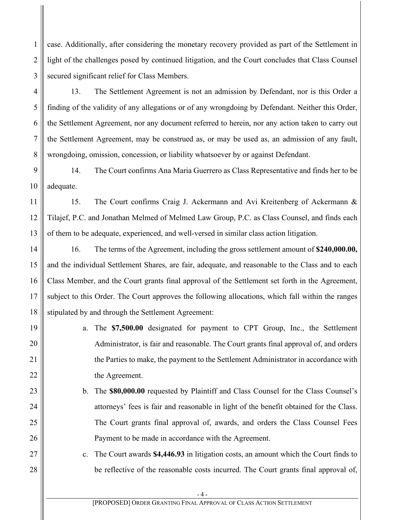case. Additionally, after considering the monetary recovery provided as part of the Settlement in light of the challenges posed by continued litigation, and the Court concludes that Class Counsel secured significant relief for Class Members.

1

2

3

4

5

6

7

8

11

12

13

14

15

16

17

18

19

20

21

22

23

24

25

26

27

28

13. The Settlement Agreement is not an admission by Defendant, nor is this Order a finding of the validity of any allegations or of any wrongdoing by Defendant. Neither this Order, the Settlement Agreement, nor any document referred to herein, nor any action taken to carry out the Settlement Agreement, may be construed as, or may be used as, an admission of any fault, wrongdoing, omission, concession, or liability whatsoever by or against Defendant.

9 10 14. The Court confirms Ana Maria Guerrero as Class Representative and finds her to be adequate.

15. The Court confirms Craig J. Ackermann and Avi Kreitenberg of Ackermann & Tilajef, P.C. and Jonathan Melmed of Melmed Law Group, P.C. as Class Counsel, and finds each of them to be adequate, experienced, and well-versed in similar class action litigation.

16. The terms of the Agreement, including the gross settlement amount of **\$240,000.00,** and the individual Settlement Shares, are fair, adequate, and reasonable to the Class and to each Class Member, and the Court grants final approval of the Settlement set forth in the Agreement, subject to this Order. The Court approves the following allocations, which fall within the ranges stipulated by and through the Settlement Agreement:

- a. The **\$7,500.00** designated for payment to CPT Group, Inc., the Settlement Administrator, is fair and reasonable. The Court grants final approval of, and orders the Parties to make, the payment to the Settlement Administrator in accordance with the Agreement.
- b. The **\$80,000.00** requested by Plaintiff and Class Counsel for the Class Counsel's attorneys' fees is fair and reasonable in light of the benefit obtained for the Class. The Court grants final approval of, awards, and orders the Class Counsel Fees Payment to be made in accordance with the Agreement.

c. The Court awards **\$4,446.93** in litigation costs, an amount which the Court finds to be reflective of the reasonable costs incurred. The Court grants final approval of,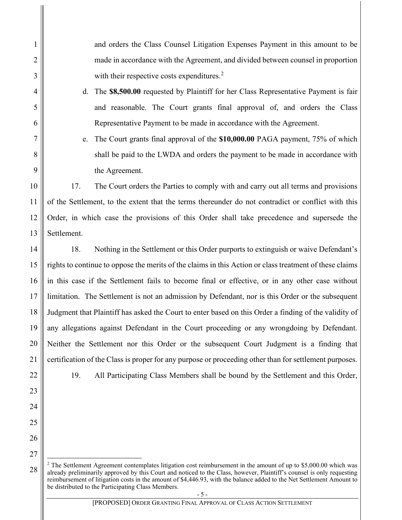and orders the Class Counsel Litigation Expenses Payment in this amount to be made in accordance with the Agreement, and divided between counsel in proportion with their respective costs expenditures. $2$ 

d. The **\$8,500.00** requested by Plaintiff for her Class Representative Payment is fair and reasonable. The Court grants final approval of, and orders the Class Representative Payment to be made in accordance with the Agreement.

e. The Court grants final approval of the **\$10,000.00** PAGA payment, 75% of which shall be paid to the LWDA and orders the payment to be made in accordance with the Agreement.

17. The Court orders the Parties to comply with and carry out all terms and provisions of the Settlement, to the extent that the terms thereunder do not contradict or conflict with this Order, in which case the provisions of this Order shall take precedence and supersede the Settlement.

18. Nothing in the Settlement or this Order purports to extinguish or waive Defendant's rights to continue to oppose the merits of the claims in this Action or class treatment of these claims in this case if the Settlement fails to become final or effective, or in any other case without limitation. The Settlement is not an admission by Defendant, nor is this Order or the subsequent Judgment that Plaintiff has asked the Court to enter based on this Order a finding of the validity of any allegations against Defendant in the Court proceeding or any wrongdoing by Defendant. Neither the Settlement nor this Order or the subsequent Court Judgment is a finding that certification of the Class is proper for any purpose or proceeding other than for settlement purposes.

1

2

3

4

5

6

7

8

9

10

11

12

13

14

15

16

17

18

19

20

21

22

23

24

25

26

27

<span id="page-4-0"></span>28

19. All Participating Class Members shall be bound by the Settlement and this Order,

<sup>&</sup>lt;sup>2</sup> The Settlement Agreement contemplates litigation cost reimbursement in the amount of up to \$5,000.00 which was already preliminarily approved by this Court and noticed to the Class, however, Plaintiff's counsel is only requesting reimbursement of litigation costs in the amount of \$4,446.93, with the balance added to the Net Settlement Amount to be distributed to the Participating Class Members.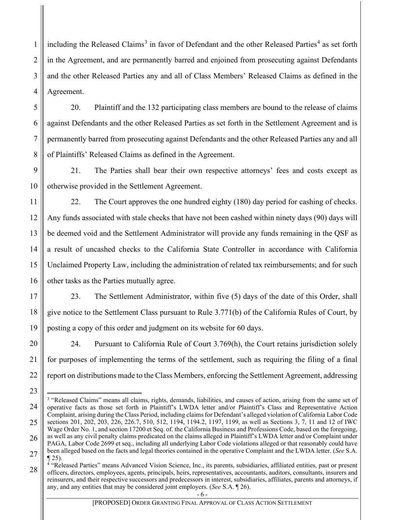including the Released Claims<sup>[3](#page-5-0)</sup> in favor of Defendant and the other Released Parties<sup>[4](#page-5-1)</sup> as set forth in the Agreement, and are permanently barred and enjoined from prosecuting against Defendants and the other Released Parties any and all of Class Members' Released Claims as defined in the Agreement.

1

2

3

4

5

6

7

8

9

10

11

12

13

14

15

16

17

18

19

20

21

22

23

<span id="page-5-0"></span>24

25

26

27

20. Plaintiff and the 132 participating class members are bound to the release of claims against Defendants and the other Released Parties as set forth in the Settlement Agreement and is permanently barred from prosecuting against Defendants and the other Released Parties any and all of Plaintiffs' Released Claims as defined in the Agreement.

21. The Parties shall bear their own respective attorneys' fees and costs except as otherwise provided in the Settlement Agreement.

22. The Court approves the one hundred eighty (180) day period for cashing of checks. Any funds associated with stale checks that have not been cashed within ninety days (90) days will be deemed void and the Settlement Administrator will provide any funds remaining in the QSF as a result of uncashed checks to the California State Controller in accordance with California Unclaimed Property Law, including the administration of related tax reimbursements; and for such other tasks as the Parties mutually agree.

23. The Settlement Administrator, within five (5) days of the date of this Order, shall give notice to the Settlement Class pursuant to Rule 3.771(b) of the California Rules of Court, by posting a copy of this order and judgment on its website for 60 days.

24. Pursuant to California Rule of Court 3.769(h), the Court retains jurisdiction solely for purposes of implementing the terms of the settlement, such as requiring the filing of a final report on distributions made to the Class Members, enforcing the Settlement Agreement, addressing

<sup>&</sup>lt;sup>3</sup> "Released Claims" means all claims, rights, demands, liabilities, and causes of action, arising from the same set of operative facts as those set forth in Plaintiff's LWDA letter and/or Plaintiff's Class and Representative Action Complaint, arising during the Class Period, including claims for Defendant's alleged violation of California Labor Code sections 201, 202, 203, 226, 226.7, 510, 512, 1194, 1194.2, 1197, 1199, as well as Sections 3, 7, 11 and 12 of IWC Wage Order No. 1, and section 17200 et Seq. of. the California Business and Professions Code, based on the foregoing, as well as any civil penalty claims predicated on the claims alleged in Plaintiff's LWDA letter and/or Complaint under PAGA, Labor Code 2699 et seq., including all underlying Labor Code violations alleged or that reasonably could have been alleged based on the facts and legal theories contained in the operative Complaint and the LWDA letter. (*See* S.A.  $\P$  25).

<span id="page-5-1"></span><sup>28</sup> <sup>4</sup> "Released Parties" means Advanced Vision Science, Inc., its parents, subsidiaries, affiliated entities, past or present officers, directors, employees, agents, principals, heirs, representatives, accountants, auditors, consultants, insurers and reinsurers, and their respective successors and predecessors in interest, subsidiaries, affiliates, parents and attorneys, if any, and any entities that may be considered joint employers. (*See* S.A. ¶ 26).